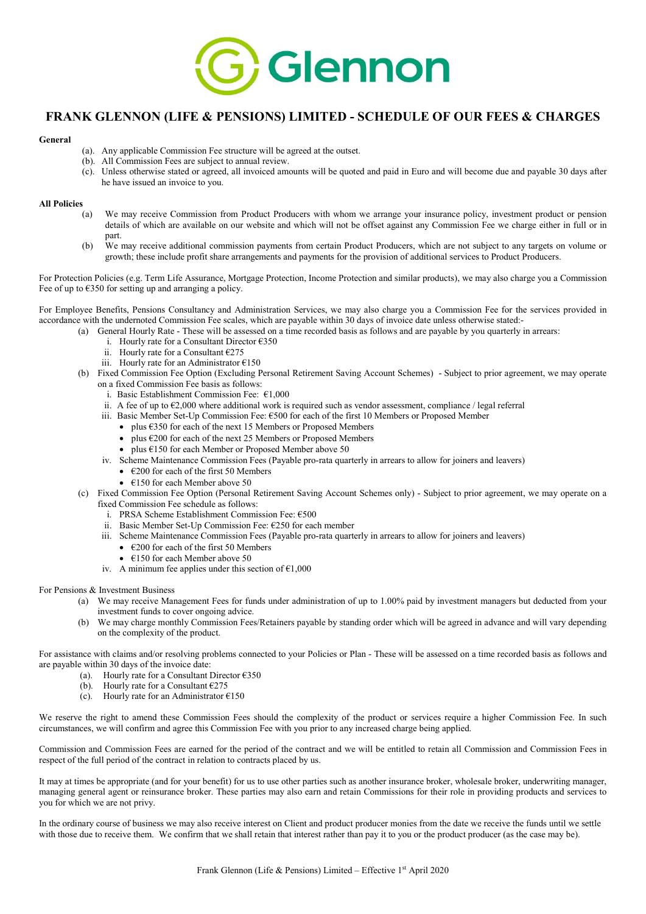

## FRANK GLENNON (LIFE & PENSIONS) LIMITED - SCHEDULE OF OUR FEES & CHARGES

## General

- (a). Any applicable Commission Fee structure will be agreed at the outset.
- (b). All Commission Fees are subject to annual review.
- (c). Unless otherwise stated or agreed, all invoiced amounts will be quoted and paid in Euro and will become due and payable 30 days after he have issued an invoice to you.

## All Policies

- (a) We may receive Commission from Product Producers with whom we arrange your insurance policy, investment product or pension details of which are available on our website and which will not be offset against any Commission Fee we charge either in full or in part.
- (b) We may receive additional commission payments from certain Product Producers, which are not subject to any targets on volume or growth; these include profit share arrangements and payments for the provision of additional services to Product Producers.

For Protection Policies (e.g. Term Life Assurance, Mortgage Protection, Income Protection and similar products), we may also charge you a Commission Fee of up to  $\epsilon$ 350 for setting up and arranging a policy.

For Employee Benefits, Pensions Consultancy and Administration Services, we may also charge you a Commission Fee for the services provided in accordance with the undernoted Commission Fee scales, which are payable within 30 days of invoice date unless otherwise stated:-

- (a) General Hourly Rate These will be assessed on a time recorded basis as follows and are payable by you quarterly in arrears:
	- i. Hourly rate for a Consultant Director  $\epsilon$ 350
	- ii. Hourly rate for a Consultant  $\epsilon$ 275
	- iii. Hourly rate for an Administrator €150

(b) Fixed Commission Fee Option (Excluding Personal Retirement Saving Account Schemes) - Subject to prior agreement, we may operate on a fixed Commission Fee basis as follows:

- i. Basic Establishment Commission Fee:  $€1,000$
- ii. A fee of up to €2,000 where additional work is required such as vendor assessment, compliance / legal referral
- iii. Basic Member Set-Up Commission Fee: €500 for each of the first 10 Members or Proposed Member
	- plus €350 for each of the next 15 Members or Proposed Members
		- plus €200 for each of the next 25 Members or Proposed Members
		- plus  $6150$  for each Member or Proposed Member above  $50$
- iv. Scheme Maintenance Commission Fees (Payable pro-rata quarterly in arrears to allow for joiners and leavers)
	- $\cdot$   $\epsilon$ 200 for each of the first 50 Members
	- $\epsilon$ 150 for each Member above 50
- (c) Fixed Commission Fee Option (Personal Retirement Saving Account Schemes only) Subject to prior agreement, we may operate on a fixed Commission Fee schedule as follows:
	- i. PRSA Scheme Establishment Commission Fee: €500
	- ii. Basic Member Set-Up Commission Fee: €250 for each member
	- iii. Scheme Maintenance Commission Fees (Payable pro-rata quarterly in arrears to allow for joiners and leavers)
		- $\cdot$   $\epsilon$ 200 for each of the first 50 Members
		- $\cdot$  £150 for each Member above 50
	- iv. A minimum fee applies under this section of  $\epsilon$ 1,000

For Pensions & Investment Business

- (a) We may receive Management Fees for funds under administration of up to 1.00% paid by investment managers but deducted from your investment funds to cover ongoing advice.
- (b) We may charge monthly Commission Fees/Retainers payable by standing order which will be agreed in advance and will vary depending on the complexity of the product.

For assistance with claims and/or resolving problems connected to your Policies or Plan - These will be assessed on a time recorded basis as follows and are payable within 30 days of the invoice date:

- (a). Hourly rate for a Consultant Director  $\epsilon$ 350
- (b). Hourly rate for a Consultant  $\epsilon$ 275
- (c). Hourly rate for an Administrator  $\epsilon$ 150

We reserve the right to amend these Commission Fees should the complexity of the product or services require a higher Commission Fee. In such circumstances, we will confirm and agree this Commission Fee with you prior to any increased charge being applied.

Commission and Commission Fees are earned for the period of the contract and we will be entitled to retain all Commission and Commission Fees in respect of the full period of the contract in relation to contracts placed by us.

It may at times be appropriate (and for your benefit) for us to use other parties such as another insurance broker, wholesale broker, underwriting manager, managing general agent or reinsurance broker. These parties may also earn and retain Commissions for their role in providing products and services to you for which we are not privy.

In the ordinary course of business we may also receive interest on Client and product producer monies from the date we receive the funds until we settle with those due to receive them. We confirm that we shall retain that interest rather than pay it to you or the product producer (as the case may be).